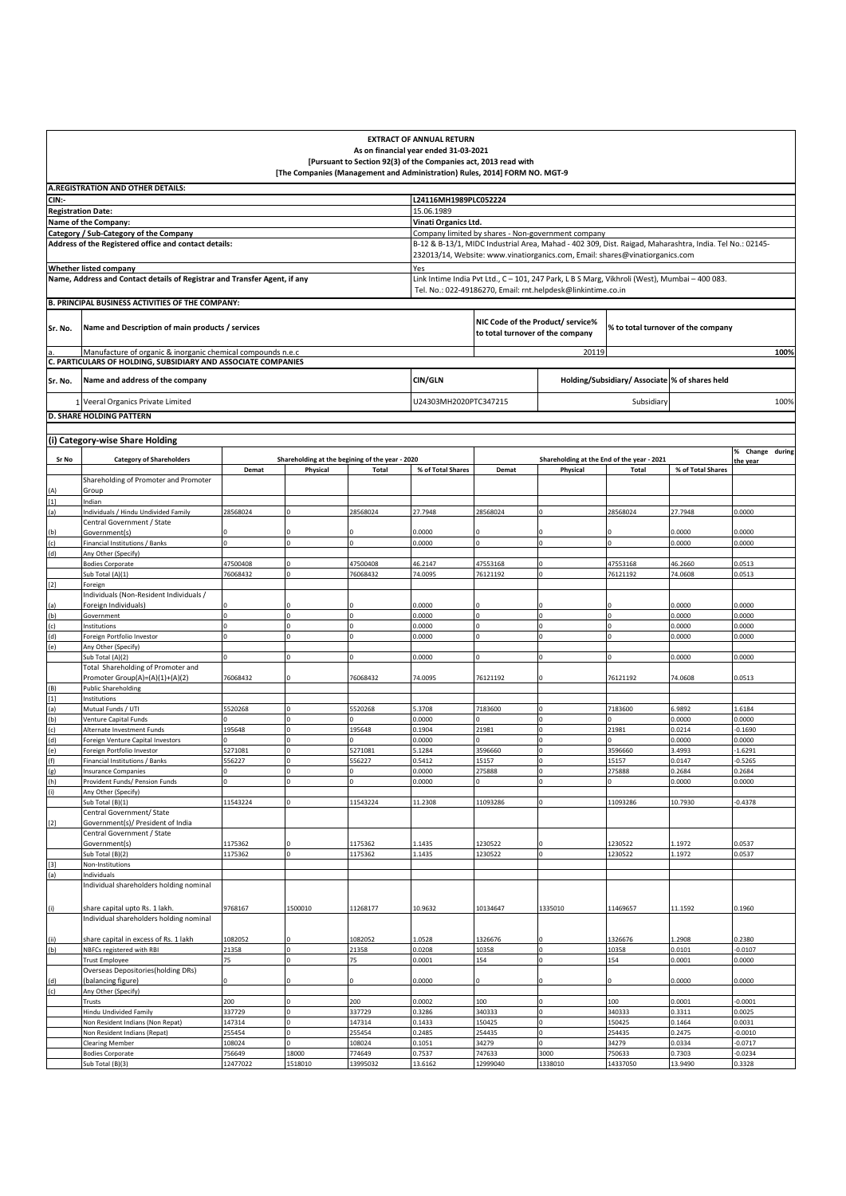|                                                                                                                                                                                                                                                                                                                                                                                                                                                                                                                                                                                                                                                                                                                                         |                                                                                                 |                      |                                                                            |                      | <b>EXTRACT OF ANNUAL RETURN</b>                                            |                                  |                                                                                                         |                                                |                                    |                                |  |
|-----------------------------------------------------------------------------------------------------------------------------------------------------------------------------------------------------------------------------------------------------------------------------------------------------------------------------------------------------------------------------------------------------------------------------------------------------------------------------------------------------------------------------------------------------------------------------------------------------------------------------------------------------------------------------------------------------------------------------------------|-------------------------------------------------------------------------------------------------|----------------------|----------------------------------------------------------------------------|----------------------|----------------------------------------------------------------------------|----------------------------------|---------------------------------------------------------------------------------------------------------|------------------------------------------------|------------------------------------|--------------------------------|--|
|                                                                                                                                                                                                                                                                                                                                                                                                                                                                                                                                                                                                                                                                                                                                         |                                                                                                 |                      |                                                                            |                      | As on financial year ended 31-03-2021                                      |                                  |                                                                                                         |                                                |                                    |                                |  |
|                                                                                                                                                                                                                                                                                                                                                                                                                                                                                                                                                                                                                                                                                                                                         |                                                                                                 |                      | [The Companies (Management and Administration) Rules, 2014] FORM NO. MGT-9 |                      | [Pursuant to Section 92(3) of the Companies act, 2013 read with            |                                  |                                                                                                         |                                                |                                    |                                |  |
|                                                                                                                                                                                                                                                                                                                                                                                                                                                                                                                                                                                                                                                                                                                                         | A.REGISTRATION AND OTHER DETAILS:                                                               |                      |                                                                            |                      |                                                                            |                                  |                                                                                                         |                                                |                                    |                                |  |
| CIN:-                                                                                                                                                                                                                                                                                                                                                                                                                                                                                                                                                                                                                                                                                                                                   |                                                                                                 |                      |                                                                            |                      | L24116MH1989PLC052224                                                      |                                  |                                                                                                         |                                                |                                    |                                |  |
| <b>Registration Date:</b>                                                                                                                                                                                                                                                                                                                                                                                                                                                                                                                                                                                                                                                                                                               |                                                                                                 |                      |                                                                            |                      | 15.06.1989                                                                 |                                  |                                                                                                         |                                                |                                    |                                |  |
|                                                                                                                                                                                                                                                                                                                                                                                                                                                                                                                                                                                                                                                                                                                                         | Name of the Company:                                                                            |                      |                                                                            |                      | Vinati Organics Ltd.<br>Company limited by shares - Non-government company |                                  |                                                                                                         |                                                |                                    |                                |  |
|                                                                                                                                                                                                                                                                                                                                                                                                                                                                                                                                                                                                                                                                                                                                         | Category / Sub-Category of the Company<br>Address of the Registered office and contact details: |                      |                                                                            |                      |                                                                            |                                  | B-12 & B-13/1, MIDC Industrial Area, Mahad - 402 309, Dist. Raigad, Maharashtra, India. Tel No.: 02145- |                                                |                                    |                                |  |
|                                                                                                                                                                                                                                                                                                                                                                                                                                                                                                                                                                                                                                                                                                                                         |                                                                                                 |                      |                                                                            |                      |                                                                            |                                  | 232013/14, Website: www.vinatiorganics.com, Email: shares@vinatiorganics.com                            |                                                |                                    |                                |  |
|                                                                                                                                                                                                                                                                                                                                                                                                                                                                                                                                                                                                                                                                                                                                         | <b>Whether listed company</b>                                                                   |                      |                                                                            |                      | Yes                                                                        |                                  |                                                                                                         |                                                |                                    |                                |  |
|                                                                                                                                                                                                                                                                                                                                                                                                                                                                                                                                                                                                                                                                                                                                         | Name, Address and Contact details of Registrar and Transfer Agent, if any                       |                      |                                                                            |                      |                                                                            |                                  | Link Intime India Pvt Ltd., C - 101, 247 Park, L B S Marg, Vikhroli (West), Mumbai - 400 083.           |                                                |                                    |                                |  |
|                                                                                                                                                                                                                                                                                                                                                                                                                                                                                                                                                                                                                                                                                                                                         | B. PRINCIPAL BUSINESS ACTIVITIES OF THE COMPANY:                                                |                      |                                                                            |                      |                                                                            |                                  | Tel. No.: 022-49186270, Email: rnt.helpdesk@linkintime.co.in                                            |                                                |                                    |                                |  |
|                                                                                                                                                                                                                                                                                                                                                                                                                                                                                                                                                                                                                                                                                                                                         |                                                                                                 |                      |                                                                            |                      |                                                                            |                                  |                                                                                                         |                                                |                                    |                                |  |
| Sr. No.                                                                                                                                                                                                                                                                                                                                                                                                                                                                                                                                                                                                                                                                                                                                 | Name and Description of main products / services                                                |                      |                                                                            |                      |                                                                            | to total turnover of the company | NIC Code of the Product/ service%                                                                       |                                                | % to total turnover of the company |                                |  |
|                                                                                                                                                                                                                                                                                                                                                                                                                                                                                                                                                                                                                                                                                                                                         |                                                                                                 |                      |                                                                            |                      |                                                                            |                                  |                                                                                                         |                                                |                                    |                                |  |
|                                                                                                                                                                                                                                                                                                                                                                                                                                                                                                                                                                                                                                                                                                                                         | Manufacture of organic & inorganic chemical compounds n.e.c                                     |                      |                                                                            |                      |                                                                            |                                  | 20119                                                                                                   |                                                |                                    | 100%                           |  |
|                                                                                                                                                                                                                                                                                                                                                                                                                                                                                                                                                                                                                                                                                                                                         | C. PARTICULARS OF HOLDING, SUBSIDIARY AND ASSOCIATE COMPANIES                                   |                      |                                                                            |                      |                                                                            |                                  |                                                                                                         |                                                |                                    |                                |  |
| Sr. No.                                                                                                                                                                                                                                                                                                                                                                                                                                                                                                                                                                                                                                                                                                                                 | Name and address of the company                                                                 |                      |                                                                            |                      | CIN/GLN                                                                    |                                  |                                                                                                         | Holding/Subsidiary/ Associate % of shares held |                                    |                                |  |
|                                                                                                                                                                                                                                                                                                                                                                                                                                                                                                                                                                                                                                                                                                                                         | 1 Veeral Organics Private Limited                                                               |                      |                                                                            |                      | U24303MH2020PTC347215                                                      |                                  |                                                                                                         | Subsidiary                                     |                                    | 100%                           |  |
|                                                                                                                                                                                                                                                                                                                                                                                                                                                                                                                                                                                                                                                                                                                                         | <b>D. SHARE HOLDING PATTERN</b>                                                                 |                      |                                                                            |                      |                                                                            |                                  |                                                                                                         |                                                |                                    |                                |  |
|                                                                                                                                                                                                                                                                                                                                                                                                                                                                                                                                                                                                                                                                                                                                         |                                                                                                 |                      |                                                                            |                      |                                                                            |                                  |                                                                                                         |                                                |                                    |                                |  |
|                                                                                                                                                                                                                                                                                                                                                                                                                                                                                                                                                                                                                                                                                                                                         | (i) Category-wise Share Holding                                                                 |                      |                                                                            |                      |                                                                            |                                  |                                                                                                         |                                                |                                    |                                |  |
| Sr No                                                                                                                                                                                                                                                                                                                                                                                                                                                                                                                                                                                                                                                                                                                                   | <b>Category of Shareholders</b>                                                                 |                      | Shareholding at the begining of the year - 2020                            |                      |                                                                            |                                  | Shareholding at the End of the year - 2021                                                              |                                                |                                    | % Change<br>during<br>the vear |  |
|                                                                                                                                                                                                                                                                                                                                                                                                                                                                                                                                                                                                                                                                                                                                         |                                                                                                 | Demat                | Physical                                                                   | Total                | % of Total Shares                                                          | Demat                            | Physical                                                                                                | <b>Total</b>                                   | % of Total Shares                  |                                |  |
| (A)                                                                                                                                                                                                                                                                                                                                                                                                                                                                                                                                                                                                                                                                                                                                     | Shareholding of Promoter and Promoter<br>Group                                                  |                      |                                                                            |                      |                                                                            |                                  |                                                                                                         |                                                |                                    |                                |  |
| $[1]$                                                                                                                                                                                                                                                                                                                                                                                                                                                                                                                                                                                                                                                                                                                                   | Indian                                                                                          |                      |                                                                            |                      |                                                                            |                                  |                                                                                                         |                                                |                                    |                                |  |
| (a)                                                                                                                                                                                                                                                                                                                                                                                                                                                                                                                                                                                                                                                                                                                                     | Individuals / Hindu Undivided Family                                                            | 28568024             | $\Omega$                                                                   | 28568024             | 27.7948                                                                    | 28568024                         | $\Omega$                                                                                                | 28568024                                       | 27.7948                            | 0.0000                         |  |
| (b)                                                                                                                                                                                                                                                                                                                                                                                                                                                                                                                                                                                                                                                                                                                                     | Central Government / State<br>Government(s)                                                     |                      | $\Omega$                                                                   |                      | 0.0000                                                                     |                                  |                                                                                                         | $\Omega$                                       | 0.0000                             | 0.0000                         |  |
| (c)                                                                                                                                                                                                                                                                                                                                                                                                                                                                                                                                                                                                                                                                                                                                     | Financial Institutions / Banks                                                                  |                      | $\Omega$                                                                   | Ó                    | 0.0000                                                                     |                                  |                                                                                                         | $\Omega$                                       | 0.0000                             | 0.0000                         |  |
| (d)                                                                                                                                                                                                                                                                                                                                                                                                                                                                                                                                                                                                                                                                                                                                     | Any Other (Specify)                                                                             |                      |                                                                            |                      |                                                                            |                                  |                                                                                                         |                                                |                                    |                                |  |
|                                                                                                                                                                                                                                                                                                                                                                                                                                                                                                                                                                                                                                                                                                                                         | <b>Bodies Corporate</b><br>Sub Total (A)(1)                                                     | 47500408<br>76068432 | 0                                                                          | 47500408<br>76068432 | 46.2147<br>74.0095                                                         | 47553168<br>76121192             |                                                                                                         | 47553168<br>76121192                           | 46.2660<br>74.0608                 | 0.0513<br>0.0513               |  |
| $[2]$                                                                                                                                                                                                                                                                                                                                                                                                                                                                                                                                                                                                                                                                                                                                   | Foreign                                                                                         |                      |                                                                            |                      |                                                                            |                                  |                                                                                                         |                                                |                                    |                                |  |
|                                                                                                                                                                                                                                                                                                                                                                                                                                                                                                                                                                                                                                                                                                                                         | Individuals (Non-Resident Individuals /                                                         |                      |                                                                            |                      |                                                                            |                                  |                                                                                                         |                                                |                                    |                                |  |
| $(a)$<br>$(b)$                                                                                                                                                                                                                                                                                                                                                                                                                                                                                                                                                                                                                                                                                                                          | Foreign Individuals)<br>Government                                                              | Ó                    |                                                                            | Ó                    | 0.0000<br>0.0000                                                           |                                  |                                                                                                         | $\Omega$                                       | 0.0000<br>0.0000                   | 0.0000<br>0.0000               |  |
| (c)                                                                                                                                                                                                                                                                                                                                                                                                                                                                                                                                                                                                                                                                                                                                     | nstitutions                                                                                     |                      | $\Omega$                                                                   |                      | 0.0000                                                                     | $\Omega$                         |                                                                                                         | $\mathbf 0$                                    | 0.0000                             | 0.0000                         |  |
| (d)                                                                                                                                                                                                                                                                                                                                                                                                                                                                                                                                                                                                                                                                                                                                     | Foreign Portfolio Investor                                                                      |                      |                                                                            |                      | 0.0000                                                                     |                                  |                                                                                                         |                                                | 0.0000                             | 0.0000                         |  |
| (e)                                                                                                                                                                                                                                                                                                                                                                                                                                                                                                                                                                                                                                                                                                                                     | Any Other (Specify)<br>Sub Total (A)(2)                                                         |                      |                                                                            |                      | 0.0000                                                                     |                                  |                                                                                                         |                                                | 0.0000                             | 0.0000                         |  |
|                                                                                                                                                                                                                                                                                                                                                                                                                                                                                                                                                                                                                                                                                                                                         | Total Shareholding of Promoter and                                                              |                      |                                                                            |                      |                                                                            |                                  |                                                                                                         |                                                |                                    |                                |  |
| (B)                                                                                                                                                                                                                                                                                                                                                                                                                                                                                                                                                                                                                                                                                                                                     | Promoter Group(A)=(A)(1)+(A)(2)<br><b>Public Shareholding</b>                                   | 76068432             |                                                                            | 76068432             | 74.0095                                                                    | 76121192                         |                                                                                                         | 76121192                                       | 74.0608                            | 0.0513                         |  |
| $[1] % \centering \includegraphics[width=0.9\columnwidth]{figures/fig_10.pdf} \caption{The graph $\mathcal{N}_1$ is a function of the number of times, and the number of times, and the number of times, are indicated with the number of times, and the number of times, are indicated with the number of times, and the number of times, are indicated with the number of times, and the number of times, are indicated with the number of times, and the number of times, are indicated with the number of times, and the number of times, are indicated with the number of times, and the number of times, are indicated with the number of times, and the number of times, are indicated with the number of times.} \label{fig:3}$ | Institutions                                                                                    |                      |                                                                            |                      |                                                                            |                                  |                                                                                                         |                                                |                                    |                                |  |
| (a)                                                                                                                                                                                                                                                                                                                                                                                                                                                                                                                                                                                                                                                                                                                                     | Mutual Funds / UTI                                                                              | 5520268              | $\Omega$                                                                   | 5520268              | 5.3708                                                                     | 7183600                          |                                                                                                         | 7183600                                        | 5.9892                             | 1.6184                         |  |
| (b)<br>(c)                                                                                                                                                                                                                                                                                                                                                                                                                                                                                                                                                                                                                                                                                                                              | Venture Capital Funds<br>Alternate Investment Funds                                             | 195648               | 0                                                                          | 195648               | 0.0000<br>0.1904                                                           | 21981                            |                                                                                                         | 21981                                          | 0.0000<br>0.0214                   | 0.0000<br>$-0.1690$            |  |
| (d)                                                                                                                                                                                                                                                                                                                                                                                                                                                                                                                                                                                                                                                                                                                                     | Foreign Venture Capital Investors                                                               |                      | $\Omega$                                                                   |                      | 0.0000                                                                     |                                  |                                                                                                         |                                                | 0.0000                             | 0.0000                         |  |
| (e)                                                                                                                                                                                                                                                                                                                                                                                                                                                                                                                                                                                                                                                                                                                                     | Foreign Portfolio Investor                                                                      | 5271081              | $\Omega$<br>$\Omega$                                                       | 5271081              | 5.1284                                                                     | 3596660                          | $\mathbf 0$                                                                                             | 3596660                                        | 3.4993                             | $-1.6291$                      |  |
| (f)                                                                                                                                                                                                                                                                                                                                                                                                                                                                                                                                                                                                                                                                                                                                     | Financial Institutions / Banks<br><b>Insurance Companies</b>                                    | 556227               | l0                                                                         | 556227               | 0.5412<br>0.0000                                                           | 15157<br>275888                  |                                                                                                         | 15157<br>275888                                | 0.0147<br>0.2684                   | $-0.5265$<br>0.2684            |  |
| $(g)$<br>(h)                                                                                                                                                                                                                                                                                                                                                                                                                                                                                                                                                                                                                                                                                                                            | Provident Funds/ Pension Funds                                                                  |                      |                                                                            |                      | 0.0000                                                                     |                                  |                                                                                                         |                                                | 0.0000                             | 0.0000                         |  |
| (i)                                                                                                                                                                                                                                                                                                                                                                                                                                                                                                                                                                                                                                                                                                                                     | Any Other (Specify)<br>Sub Total (B)(1)                                                         | 11543224             |                                                                            | 11543224             | 11.2308                                                                    | 11093286                         |                                                                                                         | 11093286                                       | 10.7930                            | $-0.4378$                      |  |
|                                                                                                                                                                                                                                                                                                                                                                                                                                                                                                                                                                                                                                                                                                                                         | Central Government/ State                                                                       |                      |                                                                            |                      |                                                                            |                                  |                                                                                                         |                                                |                                    |                                |  |
| $[2]$                                                                                                                                                                                                                                                                                                                                                                                                                                                                                                                                                                                                                                                                                                                                   | Government(s)/ President of India                                                               |                      |                                                                            |                      |                                                                            |                                  |                                                                                                         |                                                |                                    |                                |  |
|                                                                                                                                                                                                                                                                                                                                                                                                                                                                                                                                                                                                                                                                                                                                         | Central Government / State<br>Government(s)                                                     | 1175362              |                                                                            | 1175362              | 1.1435                                                                     | 1230522                          |                                                                                                         | 1230522                                        | 1.1972                             | 0.0537                         |  |
|                                                                                                                                                                                                                                                                                                                                                                                                                                                                                                                                                                                                                                                                                                                                         | Sub Total (B)(2)                                                                                | 1175362              | Ò                                                                          | 1175362              | 1.1435                                                                     | 1230522                          |                                                                                                         | 1230522                                        | 1.1972                             | 0.0537                         |  |
| $[3]$                                                                                                                                                                                                                                                                                                                                                                                                                                                                                                                                                                                                                                                                                                                                   | Non-Institutions                                                                                |                      |                                                                            |                      |                                                                            |                                  |                                                                                                         |                                                |                                    |                                |  |
| (a)                                                                                                                                                                                                                                                                                                                                                                                                                                                                                                                                                                                                                                                                                                                                     | Individuals<br>Individual shareholders holding nominal                                          |                      |                                                                            |                      |                                                                            |                                  |                                                                                                         |                                                |                                    |                                |  |
|                                                                                                                                                                                                                                                                                                                                                                                                                                                                                                                                                                                                                                                                                                                                         |                                                                                                 |                      |                                                                            |                      |                                                                            |                                  |                                                                                                         |                                                |                                    |                                |  |
| (i)                                                                                                                                                                                                                                                                                                                                                                                                                                                                                                                                                                                                                                                                                                                                     | share capital upto Rs. 1 lakh.                                                                  | 9768167              | 1500010                                                                    | 11268177             | 10.9632                                                                    | 10134647                         | 1335010                                                                                                 | 11469657                                       | 11.1592                            | 0.1960                         |  |
|                                                                                                                                                                                                                                                                                                                                                                                                                                                                                                                                                                                                                                                                                                                                         | Individual shareholders holding nominal                                                         |                      |                                                                            |                      |                                                                            |                                  |                                                                                                         |                                                |                                    |                                |  |
| (ii)                                                                                                                                                                                                                                                                                                                                                                                                                                                                                                                                                                                                                                                                                                                                    | share capital in excess of Rs. 1 lakh                                                           | 1082052              |                                                                            | 1082052              | 1.0528                                                                     | 1326676                          |                                                                                                         | 1326676                                        | L.2908                             | 0.2380                         |  |
| (b)                                                                                                                                                                                                                                                                                                                                                                                                                                                                                                                                                                                                                                                                                                                                     | NBFCs registered with RBI                                                                       | 21358                | $\mathbf 0$                                                                | 21358                | 0.0208                                                                     | 10358                            | 0                                                                                                       | 10358                                          | 0.0101                             | $-0.0107$                      |  |
|                                                                                                                                                                                                                                                                                                                                                                                                                                                                                                                                                                                                                                                                                                                                         | <b>Trust Employee</b><br><b>Overseas Depositories (holding DRs)</b>                             | 75                   |                                                                            | 75                   | 0.0001                                                                     | 154                              |                                                                                                         | 154                                            | 0.0001                             | 0.0000                         |  |
| $\frac{d}{c}$                                                                                                                                                                                                                                                                                                                                                                                                                                                                                                                                                                                                                                                                                                                           | (balancing figure)                                                                              | $\Omega$             | $\Omega$                                                                   | 0                    | 0.0000                                                                     |                                  |                                                                                                         | $\Omega$                                       | 0.0000                             | 0.0000                         |  |
|                                                                                                                                                                                                                                                                                                                                                                                                                                                                                                                                                                                                                                                                                                                                         | Any Other (Specify)                                                                             | 200                  | $\Omega$                                                                   |                      |                                                                            |                                  |                                                                                                         |                                                |                                    |                                |  |
|                                                                                                                                                                                                                                                                                                                                                                                                                                                                                                                                                                                                                                                                                                                                         | Trusts<br><b>Hindu Undivided Family</b>                                                         | 337729               | $\Omega$                                                                   | 200<br>337729        | 0.0002<br>0.3286                                                           | 100<br>340333                    |                                                                                                         | 100<br>340333                                  | 0.0001<br>0.3311                   | $-0.0001$<br>0.0025            |  |
|                                                                                                                                                                                                                                                                                                                                                                                                                                                                                                                                                                                                                                                                                                                                         | Non Resident Indians (Non Repat)                                                                | 147314               | $\mathbf 0$                                                                | 147314               | 0.1433                                                                     | 150425                           |                                                                                                         | 150425                                         | 0.1464                             | 0.0031                         |  |
|                                                                                                                                                                                                                                                                                                                                                                                                                                                                                                                                                                                                                                                                                                                                         | Non Resident Indians (Repat)<br><b>Clearing Member</b>                                          | 255454<br>108024     |                                                                            | 255454<br>108024     | 0.2485<br>0.1051                                                           | 254435<br>34279                  |                                                                                                         | 254435<br>34279                                | 0.2475<br>0.0334                   | $-0.0010$<br>$-0.0717$         |  |
|                                                                                                                                                                                                                                                                                                                                                                                                                                                                                                                                                                                                                                                                                                                                         | <b>Bodies Corporate</b>                                                                         | 756649               | 18000                                                                      | 774649               | 0.7537                                                                     | 747633                           | 3000                                                                                                    | 750633                                         | 0.7303                             | $-0.0234$                      |  |
|                                                                                                                                                                                                                                                                                                                                                                                                                                                                                                                                                                                                                                                                                                                                         | Sub Total (B)(3)                                                                                | 12477022             | 1518010                                                                    | 13995032             | 13.6162                                                                    | 12999040                         | 1338010                                                                                                 | 14337050                                       | 13.9490                            | 0.3328                         |  |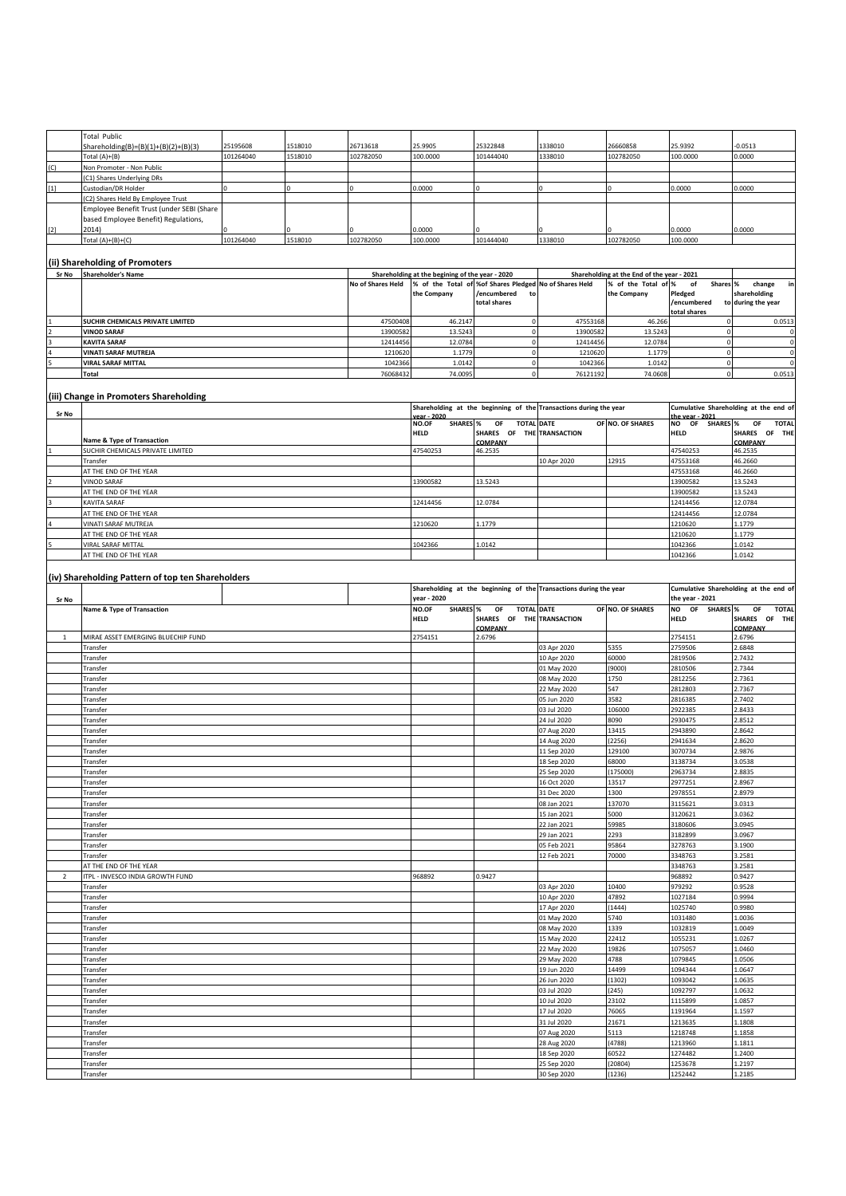|                | <b>Total Public</b>                               |           |         |                   |                                                 |                                                        |                                                                   |                                            |                          |                                       |
|----------------|---------------------------------------------------|-----------|---------|-------------------|-------------------------------------------------|--------------------------------------------------------|-------------------------------------------------------------------|--------------------------------------------|--------------------------|---------------------------------------|
|                | Shareholding(B)=(B)(1)+(B)(2)+(B)(3)              | 25195608  | 1518010 | 26713618          | 25.9905                                         | 25322848                                               | 1338010                                                           | 26660858                                   | 25.9392                  | $-0.0513$                             |
|                | Total (A)+(B)                                     | 101264040 | 1518010 | 102782050         | 100.0000                                        | 101444040                                              | 1338010                                                           | 102782050                                  | 100.0000                 | 0.0000                                |
|                |                                                   |           |         |                   |                                                 |                                                        |                                                                   |                                            |                          |                                       |
| (C)            | Non Promoter - Non Public                         |           |         |                   |                                                 |                                                        |                                                                   |                                            |                          |                                       |
|                | (C1) Shares Underlying DRs                        |           |         |                   |                                                 |                                                        |                                                                   |                                            |                          |                                       |
| $[1]$          | Custodian/DR Holder                               |           |         |                   | 0.0000                                          |                                                        |                                                                   |                                            | 0.0000                   | 0.0000                                |
|                | (C2) Shares Held By Employee Trust                |           |         |                   |                                                 |                                                        |                                                                   |                                            |                          |                                       |
|                |                                                   |           |         |                   |                                                 |                                                        |                                                                   |                                            |                          |                                       |
|                | Employee Benefit Trust (under SEBI (Share         |           |         |                   |                                                 |                                                        |                                                                   |                                            |                          |                                       |
|                | based Employee Benefit) Regulations,              |           |         |                   |                                                 |                                                        |                                                                   |                                            |                          |                                       |
| $[2]$          | 2014)                                             |           |         |                   | 0.0000                                          |                                                        |                                                                   |                                            | 0.0000                   | 0.0000                                |
|                | Total $(A)+(B)+(C)$                               | 101264040 | 1518010 | 102782050         | 100.0000                                        | 101444040                                              | 1338010                                                           | 102782050                                  | 100.0000                 |                                       |
|                |                                                   |           |         |                   |                                                 |                                                        |                                                                   |                                            |                          |                                       |
|                |                                                   |           |         |                   |                                                 |                                                        |                                                                   |                                            |                          |                                       |
|                | (ii) Shareholding of Promoters                    |           |         |                   |                                                 |                                                        |                                                                   |                                            |                          |                                       |
| Sr No          | <b>Shareholder's Name</b>                         |           |         |                   | Shareholding at the begining of the year - 2020 |                                                        |                                                                   | Shareholding at the End of the year - 2021 |                          |                                       |
|                |                                                   |           |         | No of Shares Held |                                                 | % of the Total of %of Shares Pledged No of Shares Held |                                                                   | % of the Total of %                        | Shares %<br>of           | change<br>in                          |
|                |                                                   |           |         |                   |                                                 |                                                        |                                                                   |                                            |                          |                                       |
|                |                                                   |           |         |                   | the Company                                     | /encumbered<br>to                                      |                                                                   | the Company                                | Pledged                  | shareholding                          |
|                |                                                   |           |         |                   |                                                 | total shares                                           |                                                                   |                                            | /encumbered              | to during the year                    |
|                |                                                   |           |         |                   |                                                 |                                                        |                                                                   |                                            | total shares             |                                       |
|                | SUCHIR CHEMICALS PRIVATE LIMITED                  |           |         | 47500408          | 46.2147                                         | $\mathbf 0$                                            | 47553168                                                          | 46.266                                     | $\mathbf 0$              | 0.0513                                |
|                | <b>VINOD SARAF</b>                                |           |         | 13900582          | 13.5243                                         | $\mathbf 0$                                            | 13900582                                                          | 13.5243                                    | $\mathbf 0$              | $\,0\,$                               |
|                | <b>KAVITA SARAF</b>                               |           |         | 12414456          | 12.0784                                         | $\mathbf 0$                                            | 12414456                                                          | 12.0784                                    | $\mathbf 0$              | $\mathbf 0$                           |
|                | VINATI SARAF MUTREJA                              |           |         | 1210620           | 1.1779                                          | $\mathbf 0$                                            |                                                                   | 1.1779                                     |                          | $\mathsf 0$                           |
|                |                                                   |           |         |                   |                                                 |                                                        | 1210620                                                           |                                            | $\mathbf 0$              |                                       |
|                | <b>VIRAL SARAF MITTAL</b>                         |           |         | 1042366           | 1.0142                                          | $\mathbf 0$                                            | 1042366                                                           | 1.0142                                     | $\mathbf 0$              | $\mathbf 0$                           |
|                | <b>Total</b>                                      |           |         | 7606843           | 74.0095                                         | $\mathbf 0$                                            | 76121192                                                          | 74.0608                                    | $\mathbf 0$              | 0.0513                                |
|                |                                                   |           |         |                   |                                                 |                                                        |                                                                   |                                            |                          |                                       |
|                |                                                   |           |         |                   |                                                 |                                                        |                                                                   |                                            |                          |                                       |
|                | (iii) Change in Promoters Shareholding            |           |         |                   |                                                 |                                                        |                                                                   |                                            |                          |                                       |
|                |                                                   |           |         |                   |                                                 |                                                        | Shareholding at the beginning of the Transactions during the year |                                            |                          | Cumulative Shareholding at the end of |
| Sr No          |                                                   |           |         |                   | ear - 2020                                      |                                                        |                                                                   |                                            | the year - 2021          |                                       |
|                |                                                   |           |         |                   | <b>SHARES %</b><br>NO.OF                        | OF<br><b>TOTAL DATE</b>                                |                                                                   | OF NO. OF SHARES                           | NO OF SHARES %           | OF<br><b>TOTAL</b>                    |
|                |                                                   |           |         |                   | <b>HELD</b>                                     | SHARES OF THE TRANSACTION                              |                                                                   |                                            | <b>HELD</b>              | SHARES OF THE                         |
|                | Name & Type of Transaction                        |           |         |                   |                                                 | COMPANY                                                |                                                                   |                                            |                          | COMPANY                               |
|                | SUCHIR CHEMICALS PRIVATE LIMITED                  |           |         |                   | 47540253                                        | 46.2535                                                |                                                                   |                                            | 47540253                 | 46.2535                               |
|                | Transfer                                          |           |         |                   |                                                 |                                                        | 10 Apr 2020                                                       | 12915                                      | 47553168                 | 46.2660                               |
|                |                                                   |           |         |                   |                                                 |                                                        |                                                                   |                                            |                          |                                       |
|                | AT THE END OF THE YEAR                            |           |         |                   |                                                 |                                                        |                                                                   |                                            | 47553168                 | 46.2660                               |
|                | VINOD SARAF                                       |           |         |                   | 13900582                                        | 13.5243                                                |                                                                   |                                            | 13900582                 | 13.5243                               |
|                | AT THE END OF THE YEAR                            |           |         |                   |                                                 |                                                        |                                                                   |                                            | 13900582                 | 13.5243                               |
|                | KAVITA SARAF                                      |           |         |                   | 12414456                                        | 12.0784                                                |                                                                   |                                            | 12414456                 | 12.0784                               |
|                |                                                   |           |         |                   |                                                 |                                                        |                                                                   |                                            |                          |                                       |
|                | AT THE END OF THE YEAR                            |           |         |                   |                                                 |                                                        |                                                                   |                                            | 12414456                 | 12.0784                               |
|                | VINATI SARAF MUTREJA                              |           |         |                   | 1210620                                         | 1.1779                                                 |                                                                   |                                            | 1210620                  | 1.1779                                |
|                | AT THE END OF THE YEAR                            |           |         |                   |                                                 |                                                        |                                                                   |                                            | 1210620                  | 1.1779                                |
|                | <b>VIRAL SARAF MITTAL</b>                         |           |         |                   | 1042366                                         | 1.0142                                                 |                                                                   |                                            | 1042366                  | 1.0142                                |
|                | AT THE END OF THE YEAR                            |           |         |                   |                                                 |                                                        |                                                                   |                                            | 1042366                  | 1.0142                                |
|                |                                                   |           |         |                   |                                                 |                                                        |                                                                   |                                            |                          |                                       |
|                |                                                   |           |         |                   |                                                 |                                                        |                                                                   |                                            |                          |                                       |
|                | (iv) Shareholding Pattern of top ten Shareholders |           |         |                   |                                                 |                                                        |                                                                   |                                            |                          |                                       |
|                |                                                   |           |         |                   |                                                 |                                                        | Shareholding at the beginning of the Transactions during the year |                                            |                          | Cumulative Shareholding at the end of |
|                |                                                   |           |         |                   |                                                 |                                                        |                                                                   |                                            |                          |                                       |
|                |                                                   |           |         |                   |                                                 |                                                        |                                                                   |                                            |                          |                                       |
| Sr No          |                                                   |           |         |                   | year - 2020                                     |                                                        |                                                                   |                                            | the year - 2021          |                                       |
|                | Name & Type of Transaction                        |           |         |                   | NO.OF<br><b>SHARES</b> %                        | OF<br><b>TOTAL DATE</b>                                |                                                                   | OF NO. OF SHARES                           | NO OF<br><b>SHARES %</b> | OF<br><b>TOTAL</b>                    |
|                |                                                   |           |         |                   | HELD                                            | SHARES OF THE TRANSACTION                              |                                                                   |                                            | <b>HELD</b>              | SHARES OF THE                         |
|                |                                                   |           |         |                   |                                                 | COMPANY                                                |                                                                   |                                            |                          | <b>COMPANY</b>                        |
| $\mathbf{1}$   | MIRAE ASSET EMERGING BLUECHIP FUND                |           |         |                   | 2754151                                         | 2.6796                                                 |                                                                   |                                            | 2754151                  | 2.6796                                |
|                |                                                   |           |         |                   |                                                 |                                                        |                                                                   |                                            |                          |                                       |
|                | Transfer                                          |           |         |                   |                                                 |                                                        | 03 Apr 2020                                                       | 5355                                       | 2759506                  | 2.6848                                |
|                | Transfer                                          |           |         |                   |                                                 |                                                        | 10 Apr 2020                                                       | 60000                                      | 2819506                  | 2.7432                                |
|                | Transfer                                          |           |         |                   |                                                 |                                                        | 01 May 2020                                                       | (9000)                                     | 2810506                  | 2.7344                                |
|                | Transfer                                          |           |         |                   |                                                 |                                                        | 08 May 2020                                                       | 1750                                       | 2812256                  | 2.7361                                |
|                |                                                   |           |         |                   |                                                 |                                                        |                                                                   |                                            |                          |                                       |
|                | Transfer                                          |           |         |                   |                                                 |                                                        | 22 May 2020                                                       | 547                                        | 2812803                  | 2.7367                                |
|                | Transfer                                          |           |         |                   |                                                 |                                                        | 05 Jun 2020                                                       | 3582                                       | 2816385                  | 2.7402                                |
|                | Transfer                                          |           |         |                   |                                                 |                                                        | 03 Jul 2020                                                       | 106000                                     | 2922385                  | 2.8433                                |
|                | Transfer                                          |           |         |                   |                                                 |                                                        | 24 Jul 2020                                                       | 8090                                       | 2930475                  | 2.8512                                |
|                | Transfer                                          |           |         |                   |                                                 |                                                        | 07 Aug 2020                                                       | 13415                                      | 2943890                  | 2.8642                                |
|                |                                                   |           |         |                   |                                                 |                                                        |                                                                   |                                            |                          |                                       |
|                | Transfer                                          |           |         |                   |                                                 |                                                        | 14 Aug 2020                                                       | (2256)                                     | 2941634                  | 2.8620                                |
|                | Transfer                                          |           |         |                   |                                                 |                                                        | 11 Sep 2020                                                       | 129100                                     | 3070734                  | .9876                                 |
|                | Transfer                                          |           |         |                   |                                                 |                                                        | 18 Sep 2020                                                       | <b>58000</b>                               | 3138734                  | 3.0538                                |
|                | Transfer                                          |           |         |                   |                                                 |                                                        | 25 Sep 2020                                                       | (175000)                                   | 2963734                  | 2.8835                                |
|                | Transfer                                          |           |         |                   |                                                 |                                                        | 16 Oct 2020                                                       | 13517                                      | 2977251                  | .8967                                 |
|                |                                                   |           |         |                   |                                                 |                                                        |                                                                   |                                            |                          |                                       |
|                | Transfer                                          |           |         |                   |                                                 |                                                        | 31 Dec 2020                                                       | 1300                                       | 2978551                  | 2.8979                                |
|                | Transfer                                          |           |         |                   |                                                 |                                                        | 08 Jan 2021                                                       | 137070                                     | 3115621                  | 3.0313                                |
|                | Transfer                                          |           |         |                   |                                                 |                                                        | 15 Jan 2021                                                       | 5000                                       | 3120621                  | 3.0362                                |
|                | Transfer                                          |           |         |                   |                                                 |                                                        | 22 Jan 2021                                                       | 59985                                      | 3180606                  | 3.0945                                |
|                | Transfer                                          |           |         |                   |                                                 |                                                        | 29 Jan 2021                                                       | 2293                                       | 3182899                  | 3.0967                                |
|                | Transfer                                          |           |         |                   |                                                 |                                                        | 05 Feb 2021                                                       | 95864                                      | 3278763                  | 3.1900                                |
|                |                                                   |           |         |                   |                                                 |                                                        |                                                                   |                                            |                          |                                       |
|                | Transfer                                          |           |         |                   |                                                 |                                                        | 12 Feb 2021                                                       | 70000                                      | 3348763                  | 3.2581                                |
|                | AT THE END OF THE YEAR                            |           |         |                   |                                                 |                                                        |                                                                   |                                            | 3348763                  | 3.2581                                |
| $\overline{2}$ | ITPL - INVESCO INDIA GROWTH FUND                  |           |         |                   | 968892                                          | 0.9427                                                 |                                                                   |                                            | 968892                   | 0.9427                                |
|                | Transfer                                          |           |         |                   |                                                 |                                                        | 03 Apr 2020                                                       | 10400                                      | 979292                   | 0.9528                                |
|                | Transfer                                          |           |         |                   |                                                 |                                                        | 10 Apr 2020                                                       | 47892                                      | 1027184                  | 0.9994                                |
|                |                                                   |           |         |                   |                                                 |                                                        |                                                                   |                                            |                          |                                       |
|                | Transfer                                          |           |         |                   |                                                 |                                                        | 17 Apr 2020                                                       | (1444)                                     | 1025740                  | 0.9980                                |
|                | Transfer                                          |           |         |                   |                                                 |                                                        | 01 May 2020                                                       | 5740                                       | 1031480                  | 1.0036                                |
|                | Transfer                                          |           |         |                   |                                                 |                                                        | 08 May 2020                                                       | 1339                                       | 1032819                  | 1.0049                                |
|                | Transfer                                          |           |         |                   |                                                 |                                                        | 15 May 2020                                                       | 22412                                      | 1055231                  | 1.0267                                |
|                | Transfer                                          |           |         |                   |                                                 |                                                        |                                                                   | 19826                                      | 1075057                  | .0460                                 |
|                |                                                   |           |         |                   |                                                 |                                                        | 22 May 2020                                                       |                                            |                          |                                       |
|                | Transfer                                          |           |         |                   |                                                 |                                                        | 29 May 2020                                                       | 4788                                       | 1079845                  | .0506                                 |
|                | Transfer                                          |           |         |                   |                                                 |                                                        | 19 Jun 2020                                                       | 14499                                      | 1094344                  | .0647                                 |
|                | Transfer                                          |           |         |                   |                                                 |                                                        | 26 Jun 2020                                                       | (1302)                                     | 1093042                  | 1.0635                                |
|                | Transfer                                          |           |         |                   |                                                 |                                                        | 03 Jul 2020                                                       | (245)                                      | 1092797                  | 1.0632                                |
|                |                                                   |           |         |                   |                                                 |                                                        |                                                                   |                                            |                          |                                       |
|                | Transfer                                          |           |         |                   |                                                 |                                                        | 10 Jul 2020                                                       | 23102                                      | 1115899                  | 1.0857                                |
|                | Transfer                                          |           |         |                   |                                                 |                                                        | 17 Jul 2020                                                       | 76065                                      | 1191964                  | 1.597                                 |
|                | Transfer                                          |           |         |                   |                                                 |                                                        | 31 Jul 2020                                                       | 21671                                      | 1213635                  | 1.1808                                |
|                | Transfer                                          |           |         |                   |                                                 |                                                        | 07 Aug 2020                                                       | 5113                                       | 1218748                  | 1.1858                                |
|                | Transfer                                          |           |         |                   |                                                 |                                                        | 28 Aug 2020                                                       | (4788)                                     | 1213960                  | 1.1811                                |
|                |                                                   |           |         |                   |                                                 |                                                        |                                                                   |                                            |                          |                                       |
|                | Transfer                                          |           |         |                   |                                                 |                                                        | 18 Sep 2020                                                       | 60522                                      | 1274482                  | .2400                                 |
|                | Transfer<br>Transfer                              |           |         |                   |                                                 |                                                        | 25 Sep 2020<br>30 Sep 2020                                        | (20804)<br>(1236)                          | 1253678<br>1252442       | 1.2197<br>1.2185                      |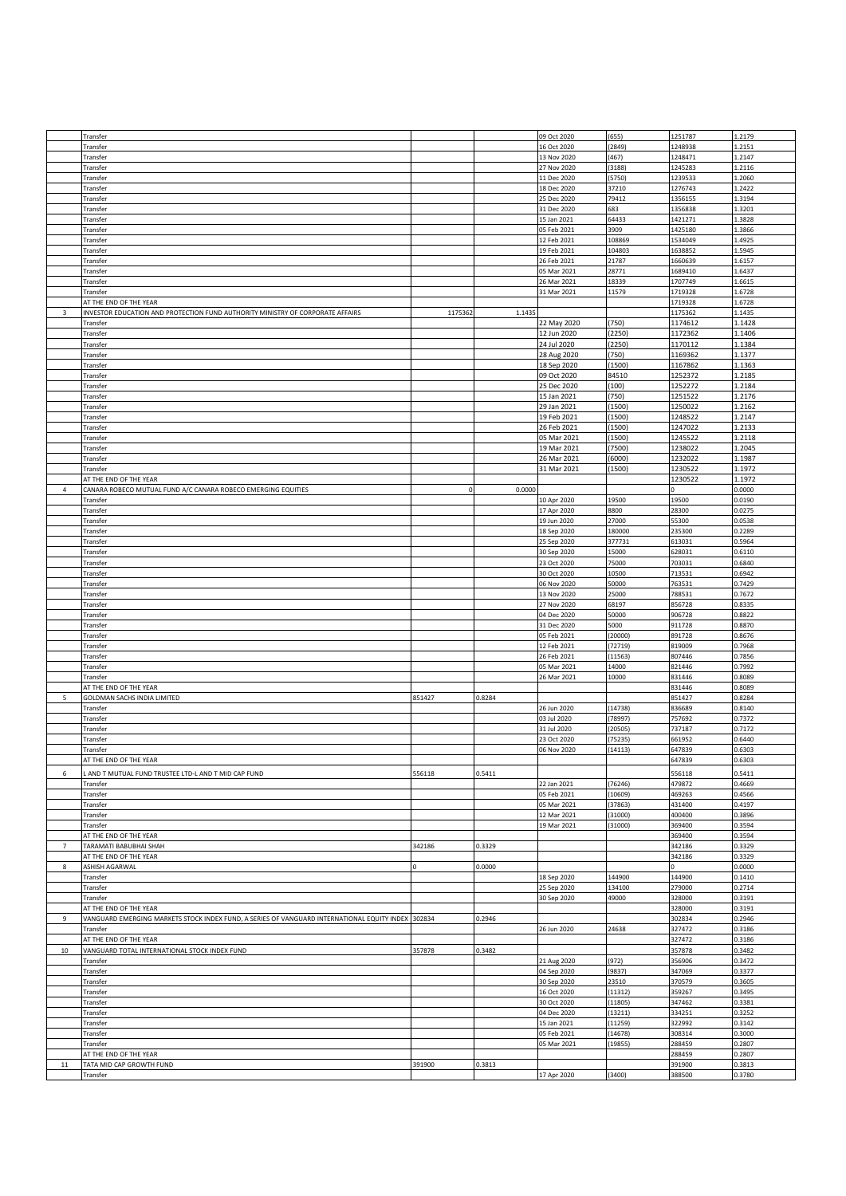|                  | Transfer                                                                                           |             |        | 09 Oct 2020 | (655)   | 1251787 | 1.2179 |
|------------------|----------------------------------------------------------------------------------------------------|-------------|--------|-------------|---------|---------|--------|
|                  | Transfer                                                                                           |             |        | 16 Oct 2020 | (2849)  | 1248938 | .2151  |
|                  | Transfer                                                                                           |             |        | 13 Nov 2020 | (467)   | 1248471 | 1.2147 |
|                  | Transfer                                                                                           |             |        | 27 Nov 2020 | (3188)  | 1245283 | 1.2116 |
|                  | Transfer                                                                                           |             |        | 11 Dec 2020 | (5750)  | 1239533 | 1.2060 |
|                  | Transfer                                                                                           |             |        | 18 Dec 2020 | 37210   | 1276743 | 1.2422 |
|                  | Transfer                                                                                           |             |        | 25 Dec 2020 | 79412   | 1356155 | .3194  |
|                  | Transfer                                                                                           |             |        | 31 Dec 2020 | 683     | 1356838 | 1.3201 |
|                  |                                                                                                    |             |        |             | 64433   |         |        |
|                  | Transfer                                                                                           |             |        | 15 Jan 2021 |         | 1421271 | .3828  |
|                  | Transfer                                                                                           |             |        | 05 Feb 2021 | 3909    | 1425180 | .3866  |
|                  | Transfer                                                                                           |             |        | 12 Feb 2021 | 108869  | 1534049 | .4925  |
|                  | Transfer                                                                                           |             |        | 19 Feb 2021 | 104803  | 1638852 | .5945  |
|                  | Transfer                                                                                           |             |        | 26 Feb 2021 | 21787   | 1660639 | 1.6157 |
|                  | Transfer                                                                                           |             |        | 05 Mar 2021 | 28771   | 1689410 | 1.6437 |
|                  | Transfer                                                                                           |             |        | 26 Mar 2021 | 18339   | 1707749 | 1.6615 |
|                  | Transfer                                                                                           |             |        | 31 Mar 2021 | 11579   | 1719328 | .6728  |
|                  | AT THE END OF THE YEAR                                                                             |             |        |             |         | 1719328 | 1.6728 |
|                  |                                                                                                    |             |        |             |         |         |        |
| 3                | INVESTOR EDUCATION AND PROTECTION FUND AUTHORITY MINISTRY OF CORPORATE AFFAIRS                     | 1175362     | 1.1435 |             |         | 1175362 | 1.1435 |
|                  | Transfer                                                                                           |             |        | 22 May 2020 | (750)   | 1174612 | 1.1428 |
|                  | Transfer                                                                                           |             |        | 12 Jun 2020 | (2250)  | 1172362 | 1.1406 |
|                  | Transfer                                                                                           |             |        | 24 Jul 2020 | (2250)  | 1170112 | 1.1384 |
|                  | Transfer                                                                                           |             |        | 28 Aug 2020 | (750)   | 1169362 | 1.1377 |
|                  | Transfer                                                                                           |             |        | 18 Sep 2020 | (1500)  | 1167862 | 1.1363 |
|                  | Transfer                                                                                           |             |        | 09 Oct 2020 | 84510   | 1252372 | L.2185 |
|                  | Transfer                                                                                           |             |        | 25 Dec 2020 | (100)   | 1252272 | 1.2184 |
|                  | Transfer                                                                                           |             |        | 15 Jan 2021 | (750)   | 1251522 | 1.2176 |
|                  | Transfer                                                                                           |             |        | 29 Jan 2021 | (1500)  | 1250022 | L.2162 |
|                  |                                                                                                    |             |        |             |         |         | 1.2147 |
|                  | Transfer                                                                                           |             |        | 19 Feb 2021 | (1500)  | 1248522 |        |
|                  | Transfer                                                                                           |             |        | 26 Feb 2021 | (1500)  | 1247022 | 1.2133 |
|                  | Transfer                                                                                           |             |        | 05 Mar 2021 | (1500)  | 1245522 | 1.2118 |
|                  | Transfer                                                                                           |             |        | 19 Mar 2021 | (7500)  | 1238022 | 1.2045 |
|                  | Transfer                                                                                           |             |        | 26 Mar 2021 | (6000)  | 1232022 | 1.1987 |
|                  | Transfer                                                                                           |             |        | 31 Mar 2021 | (1500)  | 1230522 | 1.1972 |
|                  | AT THE END OF THE YEAR                                                                             |             |        |             |         | 1230522 | 1.1972 |
| 4                | CANARA ROBECO MUTUAL FUND A/C CANARA ROBECO EMERGING EQUITIES                                      | $\mathbf 0$ | 0.0000 |             |         |         | 0.0000 |
|                  | Transfer                                                                                           |             |        | 10 Apr 2020 | 19500   | 19500   | 0.0190 |
|                  | Transfer                                                                                           |             |        | 17 Apr 2020 | 8800    | 28300   | 0.0275 |
|                  |                                                                                                    |             |        | 19 Jun 2020 |         | 55300   | 0.0538 |
|                  | Transfer                                                                                           |             |        |             | 27000   |         |        |
|                  | Transfer                                                                                           |             |        | 18 Sep 2020 | 180000  | 235300  | 0.2289 |
|                  | Transfer                                                                                           |             |        | 25 Sep 2020 | 377731  | 613031  | 0.5964 |
|                  | Transfer                                                                                           |             |        | 30 Sep 2020 | 15000   | 628031  | 0.6110 |
|                  | Transfer                                                                                           |             |        | 23 Oct 2020 | 75000   | 703031  | 0.6840 |
|                  | Transfer                                                                                           |             |        | 30 Oct 2020 | 10500   | 713531  | 0.6942 |
|                  | Transfer                                                                                           |             |        | 06 Nov 2020 | 50000   | 763531  | 0.7429 |
|                  | Transfer                                                                                           |             |        | 13 Nov 2020 | 25000   | 788531  | 0.7672 |
|                  | Transfer                                                                                           |             |        | 27 Nov 2020 | 68197   | 856728  | 0.8335 |
|                  | Transfer                                                                                           |             |        | 04 Dec 2020 | 50000   | 906728  | 0.8822 |
|                  |                                                                                                    |             |        |             | 5000    |         | 0.8870 |
|                  | Transfer                                                                                           |             |        | 31 Dec 2020 |         | 911728  |        |
|                  | Transfer                                                                                           |             |        | 05 Feb 2021 | (20000) | 891728  | 0.8676 |
|                  | Transfer                                                                                           |             |        | 12 Feb 2021 | (72719) | 819009  | 0.7968 |
|                  | Transfer                                                                                           |             |        | 26 Feb 2021 | (11563) | 807446  | 0.7856 |
|                  | Transfer                                                                                           |             |        | 05 Mar 2021 | 14000   | 821446  | 0.7992 |
|                  | Transfer                                                                                           |             |        | 26 Mar 2021 | 10000   | 831446  | 0.8089 |
|                  | AT THE END OF THE YEAR                                                                             |             |        |             |         | 831446  | 0.8089 |
| 5                | GOLDMAN SACHS INDIA LIMITED                                                                        | 851427      | 0.8284 |             |         | 851427  | 0.8284 |
|                  | Transfer                                                                                           |             |        | 26 Jun 2020 | (14738) | 836689  | 0.8140 |
|                  | Transfer                                                                                           |             |        | 03 Jul 2020 | (78997) | 757692  | 0.7372 |
|                  |                                                                                                    |             |        |             |         |         |        |
|                  | Transfer                                                                                           |             |        | 31 Jul 2020 | (20505) | 737187  | 0.7172 |
|                  | Transfer                                                                                           |             |        | 23 Oct 2020 | (75235) | 661952  | 0.6440 |
|                  | Transfer                                                                                           |             |        | 06 Nov 2020 | (14113) | 647839  | 0.6303 |
|                  | AT THE END OF THE YEAR                                                                             |             |        |             |         | 647839  | 0.6303 |
| 6                | . AND T MUTUAL FUND TRUSTEE LTD-L AND T MID CAP FUND                                               | 556118      | 0.5411 |             |         | 556118  | 0.5411 |
|                  | Transfer                                                                                           |             |        | 22 Jan 2021 | (76246) | 479872  | 0.4669 |
|                  | Transfer                                                                                           |             |        | 05 Feb 2021 | (10609) | 469263  | 0.4566 |
|                  | Transfer                                                                                           |             |        | 05 Mar 2021 | (37863) | 431400  | 0.4197 |
|                  | Transfer                                                                                           |             |        | 12 Mar 2021 | (31000) | 400400  | 0.3896 |
|                  | Transfer                                                                                           |             |        | 19 Mar 2021 | (31000) | 369400  | 0.3594 |
|                  |                                                                                                    |             |        |             |         |         |        |
|                  | AT THE END OF THE YEAR<br>TARAMATI BABUBHAI SHAH                                                   |             |        |             |         | 369400  | 0.3594 |
| $\overline{7}$   |                                                                                                    | 342186      | 0.3329 |             |         | 342186  | 0.3329 |
|                  | AT THE END OF THE YEAR                                                                             |             |        |             |         | 342186  | 0.3329 |
| 8                | ASHISH AGARWAL                                                                                     |             | 0.0000 |             |         |         | 0.0000 |
|                  | Transfer                                                                                           |             |        | 18 Sep 2020 | 144900  | 144900  | 0.1410 |
|                  | Transfer                                                                                           |             |        | 25 Sep 2020 | 134100  | 279000  | 0.2714 |
|                  | Transfer                                                                                           |             |        | 30 Sep 2020 | 49000   | 328000  | 0.3191 |
|                  | AT THE END OF THE YEAR                                                                             |             |        |             |         | 328000  | 0.3191 |
| $\boldsymbol{9}$ | VANGUARD EMERGING MARKETS STOCK INDEX FUND, A SERIES OF VANGUARD INTERNATIONAL EQUITY INDEX 302834 |             | 0.2946 |             |         | 302834  | 0.2946 |
|                  | Transfer                                                                                           |             |        | 26 Jun 2020 | 24638   | 327472  | 0.3186 |
|                  | AT THE END OF THE YEAR                                                                             |             |        |             |         | 327472  | 0.3186 |
| 10               | VANGUARD TOTAL INTERNATIONAL STOCK INDEX FUND                                                      | 357878      | 0.3482 |             |         | 357878  | 0.3482 |
|                  | Transfer                                                                                           |             |        | 21 Aug 2020 | (972)   | 356906  | 0.3472 |
|                  |                                                                                                    |             |        |             |         |         |        |
|                  | Transfer                                                                                           |             |        | 04 Sep 2020 | (9837)  | 347069  | 0.3377 |
|                  | Transfer                                                                                           |             |        | 30 Sep 2020 | 23510   | 370579  | 0.3605 |
|                  | Transfer                                                                                           |             |        | 16 Oct 2020 | (11312) | 359267  | 0.3495 |
|                  | Transfer                                                                                           |             |        | 30 Oct 2020 | (11805) | 347462  | 0.3381 |
|                  | Transfer                                                                                           |             |        | 04 Dec 2020 | (13211) | 334251  | 0.3252 |
|                  | Transfer                                                                                           |             |        | 15 Jan 2021 | 11259   | 322992  | 0.3142 |
|                  | Transfer                                                                                           |             |        | 05 Feb 2021 | 14678)  | 308314  | 0.3000 |
|                  | Transfer                                                                                           |             |        | 05 Mar 2021 | (19855) | 288459  | 0.2807 |
|                  | AT THE END OF THE YEAR                                                                             |             |        |             |         | 288459  | 0.2807 |
| 11               | TATA MID CAP GROWTH FUND                                                                           | 391900      | 0.3813 |             |         | 391900  | 0.3813 |
|                  | Transfer                                                                                           |             |        | 17 Apr 2020 | (3400)  | 388500  | 0.3780 |
|                  |                                                                                                    |             |        |             |         |         |        |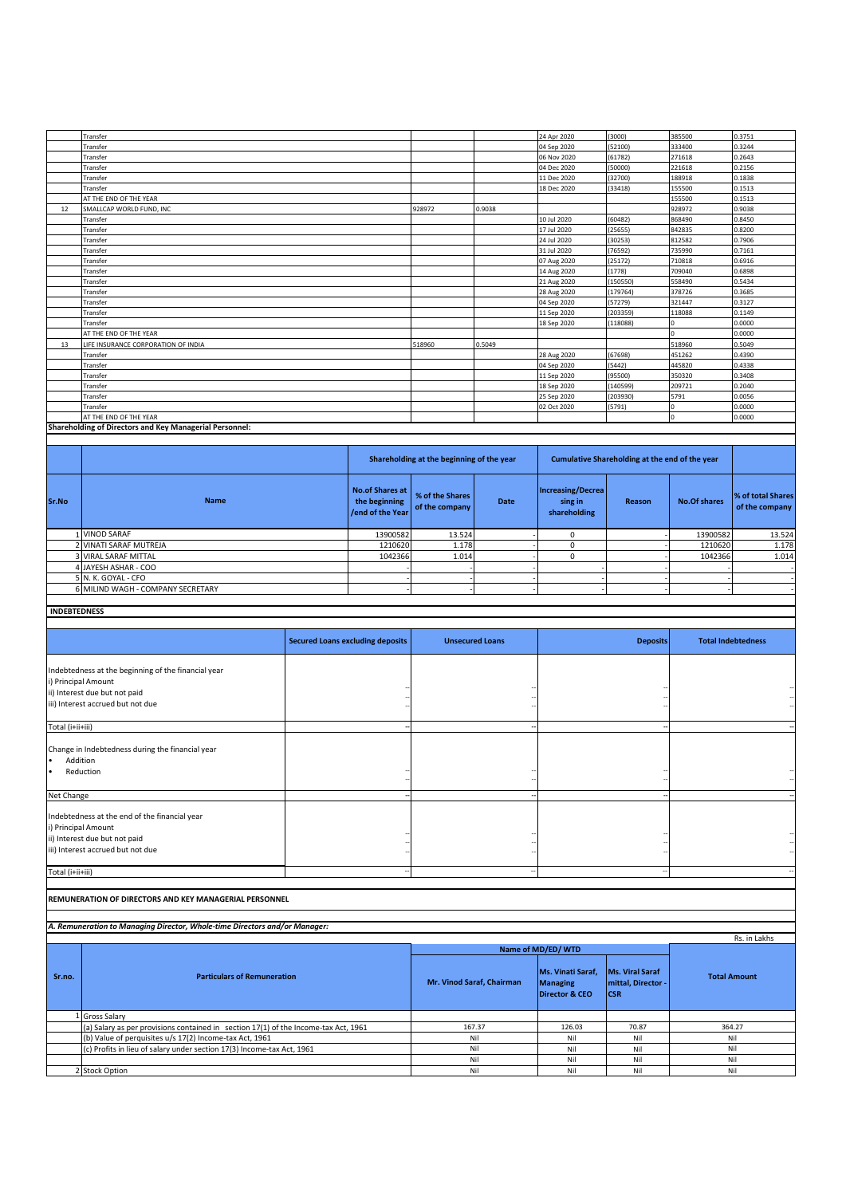|                     | Transfer                                                                                                                          |                                         |                                         |                                           |                           | 24 Apr 2020                         | (3000)                                         | 385500                    | 0.3751               |
|---------------------|-----------------------------------------------------------------------------------------------------------------------------------|-----------------------------------------|-----------------------------------------|-------------------------------------------|---------------------------|-------------------------------------|------------------------------------------------|---------------------------|----------------------|
|                     | Transfer                                                                                                                          |                                         |                                         |                                           |                           | 04 Sep 2020                         | 52100)                                         | 333400                    | 0.3244               |
|                     | Transfer                                                                                                                          |                                         |                                         |                                           |                           | 06 Nov 2020                         | 61782)                                         | 271618                    | 0.2643               |
|                     | Transfer                                                                                                                          |                                         |                                         |                                           |                           | 04 Dec 2020                         | 50000)                                         | 221618                    | 0.2156               |
|                     | Transfer                                                                                                                          |                                         |                                         |                                           |                           | 11 Dec 2020                         | 32700)                                         | 188918                    | 0.1838               |
|                     | Transfer                                                                                                                          |                                         |                                         |                                           |                           | 18 Dec 2020                         | (33418)                                        | 155500                    | 0.1513               |
|                     | AT THE END OF THE YEAR                                                                                                            |                                         |                                         |                                           |                           |                                     |                                                | 155500                    | 0.1513               |
| 12                  | SMALLCAP WORLD FUND, INC                                                                                                          |                                         |                                         | 928972                                    | 0.9038                    |                                     |                                                | 928972                    | 0.9038               |
|                     | Transfer                                                                                                                          |                                         |                                         |                                           |                           | 10 Jul 2020                         | (60482)                                        | 868490                    | 0.8450               |
|                     | Transfer                                                                                                                          |                                         |                                         |                                           |                           | 17 Jul 2020                         | (25655)                                        | 842835                    | 0.8200               |
|                     | Transfer                                                                                                                          |                                         |                                         |                                           |                           | 24 Jul 2020                         | 30253)                                         | 812582                    | 0.7906               |
|                     | Transfer                                                                                                                          |                                         |                                         |                                           |                           | 31 Jul 2020                         | 76592)                                         | 735990                    | 0.7161               |
|                     | Transfer                                                                                                                          |                                         |                                         |                                           |                           | 07 Aug 2020                         | (25172)                                        | 710818                    | 0.6916               |
|                     | Transfer                                                                                                                          |                                         |                                         |                                           |                           | 14 Aug 2020                         | (1778)                                         | 709040                    | 0.6898               |
|                     | Transfer                                                                                                                          |                                         |                                         |                                           |                           | 21 Aug 2020                         | (150550)                                       | 558490                    | 0.5434               |
|                     | Transfer                                                                                                                          |                                         |                                         |                                           |                           | 28 Aug 2020                         | (179764)                                       | 378726                    | 0.3685               |
|                     | Transfer                                                                                                                          |                                         |                                         |                                           |                           | 04 Sep 2020                         | (57279)                                        | 321447                    | 0.3127               |
|                     | Transfer                                                                                                                          |                                         |                                         |                                           |                           | 11 Sep 2020                         | (203359)                                       | 118088<br>$\Omega$        | 0.1149<br>0.0000     |
|                     | Transfer<br>AT THE END OF THE YEAR                                                                                                |                                         |                                         |                                           |                           | 18 Sep 2020                         | (118088)                                       | $\Omega$                  | 0.0000               |
| 13                  | LIFE INSURANCE CORPORATION OF INDIA                                                                                               |                                         |                                         | 518960                                    | 0.5049                    |                                     |                                                | 518960                    | 0.5049               |
|                     | Transfer                                                                                                                          |                                         |                                         |                                           |                           | 28 Aug 2020                         | (67698)                                        | 451262                    | 0.4390               |
|                     | Transfer                                                                                                                          |                                         |                                         |                                           |                           | 04 Sep 2020                         | 5442)                                          | 445820                    | 0.4338               |
|                     | Transfer                                                                                                                          |                                         |                                         |                                           |                           | 11 Sep 2020                         | 95500)                                         | 350320                    | 0.3408               |
|                     | Transfer                                                                                                                          |                                         |                                         |                                           |                           | 18 Sep 2020                         | 140599)                                        | 209721                    | 0.2040               |
|                     | Transfer                                                                                                                          |                                         |                                         |                                           |                           | 25 Sep 2020                         | (203930)                                       | 5791                      | 0.0056               |
|                     | Transfer                                                                                                                          |                                         |                                         |                                           |                           | 02 Oct 2020                         | 5791)                                          | O                         | 0.0000               |
|                     | AT THE END OF THE YEAR                                                                                                            |                                         |                                         |                                           |                           |                                     |                                                | $\mathbf 0$               | 0.0000               |
|                     | Shareholding of Directors and Key Managerial Personnel:                                                                           |                                         |                                         |                                           |                           |                                     |                                                |                           |                      |
|                     |                                                                                                                                   |                                         |                                         |                                           |                           |                                     |                                                |                           |                      |
|                     |                                                                                                                                   |                                         |                                         |                                           |                           |                                     |                                                |                           |                      |
|                     |                                                                                                                                   |                                         |                                         | Shareholding at the beginning of the year |                           |                                     | Cumulative Shareholding at the end of the year |                           |                      |
| Sr.No               | <b>Name</b>                                                                                                                       |                                         | <b>No.of Shares at</b><br>the beginning | % of the Shares                           | <b>Date</b>               | <b>Increasing/Decrea</b><br>sing in | Reason                                         | <b>No.Of shares</b>       | % of total Shares    |
|                     |                                                                                                                                   |                                         | end of the Year                         | of the company                            |                           |                                     |                                                |                           | of the company       |
|                     |                                                                                                                                   |                                         |                                         |                                           |                           | shareholding                        |                                                |                           |                      |
| $\mathbf{1}$        | <b>VINOD SARAF</b>                                                                                                                |                                         | 13900582                                | 13.524                                    |                           | $\pmb{0}$                           |                                                | 13900582                  | 13.524               |
| $\overline{2}$      | VINATI SARAF MUTREJA                                                                                                              |                                         | 1210620                                 | 1.178                                     |                           | $\pmb{0}$                           |                                                | 1210620                   | 1.178                |
| 3                   | <b>VIRAL SARAF MITTAL</b>                                                                                                         |                                         | 1042366                                 | 1.014                                     |                           | $\pmb{0}$                           |                                                | 1042366                   | 1.014                |
|                     | 4 JAYESH ASHAR - COO                                                                                                              |                                         |                                         |                                           |                           |                                     |                                                |                           |                      |
|                     | 5 N. K. GOYAL - CFO                                                                                                               |                                         |                                         |                                           |                           |                                     |                                                |                           |                      |
|                     | 6 MILIND WAGH - COMPANY SECRETARY                                                                                                 |                                         |                                         |                                           |                           |                                     |                                                |                           |                      |
|                     |                                                                                                                                   |                                         |                                         |                                           |                           |                                     |                                                |                           |                      |
|                     |                                                                                                                                   |                                         |                                         |                                           |                           |                                     |                                                |                           |                      |
|                     |                                                                                                                                   |                                         |                                         |                                           |                           |                                     |                                                |                           |                      |
| <b>INDEBTEDNESS</b> |                                                                                                                                   |                                         |                                         |                                           |                           |                                     |                                                |                           |                      |
|                     |                                                                                                                                   |                                         |                                         |                                           |                           |                                     |                                                |                           |                      |
|                     |                                                                                                                                   | <b>Secured Loans excluding deposits</b> |                                         |                                           | <b>Unsecured Loans</b>    |                                     | <b>Deposits</b>                                | <b>Total Indebtedness</b> |                      |
|                     |                                                                                                                                   |                                         |                                         |                                           |                           |                                     |                                                |                           |                      |
|                     |                                                                                                                                   |                                         |                                         |                                           |                           |                                     |                                                |                           |                      |
|                     | Indebtedness at the beginning of the financial year                                                                               |                                         |                                         |                                           |                           |                                     |                                                |                           |                      |
| i) Principal Amount |                                                                                                                                   |                                         |                                         |                                           |                           |                                     |                                                |                           |                      |
|                     | ii) Interest due but not paid                                                                                                     |                                         |                                         |                                           |                           |                                     |                                                |                           |                      |
|                     | iii) Interest accrued but not due                                                                                                 |                                         |                                         |                                           |                           |                                     |                                                |                           |                      |
|                     |                                                                                                                                   |                                         |                                         |                                           |                           |                                     |                                                |                           |                      |
| Total (i+ii+iii)    |                                                                                                                                   |                                         |                                         |                                           |                           |                                     |                                                |                           |                      |
|                     |                                                                                                                                   |                                         |                                         |                                           |                           |                                     |                                                |                           |                      |
|                     | Change in Indebtedness during the financial year                                                                                  |                                         |                                         |                                           |                           |                                     |                                                |                           |                      |
| Addition            |                                                                                                                                   |                                         |                                         |                                           |                           |                                     |                                                |                           |                      |
|                     | Reduction                                                                                                                         |                                         |                                         |                                           |                           |                                     |                                                |                           | $\ddot{\phantom{1}}$ |
|                     |                                                                                                                                   |                                         |                                         |                                           |                           |                                     |                                                |                           |                      |
| Net Change          |                                                                                                                                   |                                         |                                         |                                           |                           |                                     |                                                |                           |                      |
|                     |                                                                                                                                   |                                         |                                         |                                           |                           |                                     |                                                |                           |                      |
|                     | Indebtedness at the end of the financial year                                                                                     |                                         |                                         |                                           |                           |                                     |                                                |                           |                      |
| i) Principal Amount |                                                                                                                                   |                                         |                                         |                                           |                           |                                     |                                                |                           |                      |
|                     | ii) Interest due but not paid                                                                                                     |                                         |                                         |                                           |                           |                                     |                                                |                           |                      |
|                     | iii) Interest accrued but not due                                                                                                 |                                         |                                         |                                           |                           |                                     |                                                |                           |                      |
|                     |                                                                                                                                   |                                         |                                         |                                           |                           |                                     |                                                |                           |                      |
| Total (i+ii+iii)    |                                                                                                                                   |                                         |                                         |                                           |                           |                                     |                                                |                           |                      |
|                     |                                                                                                                                   |                                         |                                         |                                           |                           |                                     |                                                |                           |                      |
|                     | REMUNERATION OF DIRECTORS AND KEY MANAGERIAL PERSONNEL                                                                            |                                         |                                         |                                           |                           |                                     |                                                |                           |                      |
|                     |                                                                                                                                   |                                         |                                         |                                           |                           |                                     |                                                |                           |                      |
|                     | A. Remuneration to Managing Director, Whole-time Directors and/or Manager:                                                        |                                         |                                         |                                           |                           |                                     |                                                |                           |                      |
|                     |                                                                                                                                   |                                         |                                         |                                           |                           |                                     |                                                |                           | Rs. in Lakhs         |
|                     |                                                                                                                                   |                                         |                                         |                                           |                           | Name of MD/ED/WTD                   |                                                |                           |                      |
|                     |                                                                                                                                   |                                         |                                         |                                           |                           |                                     |                                                |                           |                      |
|                     | <b>Particulars of Remuneration</b>                                                                                                |                                         |                                         |                                           |                           | Ms. Vinati Saraf,                   | <b>Ms. Viral Saraf</b>                         |                           | <b>Total Amount</b>  |
| Sr.no.              |                                                                                                                                   |                                         |                                         |                                           | Mr. Vinod Saraf, Chairman | <b>Managing</b>                     | mittal, Director                               |                           |                      |
|                     |                                                                                                                                   |                                         |                                         |                                           |                           | <b>Director &amp; CEO</b>           | <b>CSR</b>                                     |                           |                      |
|                     |                                                                                                                                   |                                         |                                         |                                           |                           |                                     |                                                |                           |                      |
|                     | 1 Gross Salary                                                                                                                    |                                         |                                         |                                           |                           |                                     |                                                |                           |                      |
|                     | (a) Salary as per provisions contained in section 17(1) of the Income-tax Act, 1961                                               |                                         |                                         |                                           | 167.37                    | 126.03                              | 70.87                                          | 364.27                    |                      |
|                     | (b) Value of perquisites u/s 17(2) Income-tax Act, 1961<br>(c) Profits in lieu of salary under section 17(3) Income-tax Act, 1961 |                                         |                                         |                                           | Nil<br>Nil                | Nil<br>Nil                          | Nil<br>Nil                                     |                           | Nil<br>Nil           |

2 Nil Nil

Stock Option Nil

Nil Nil

Nil Nil Nil Nil

Nil